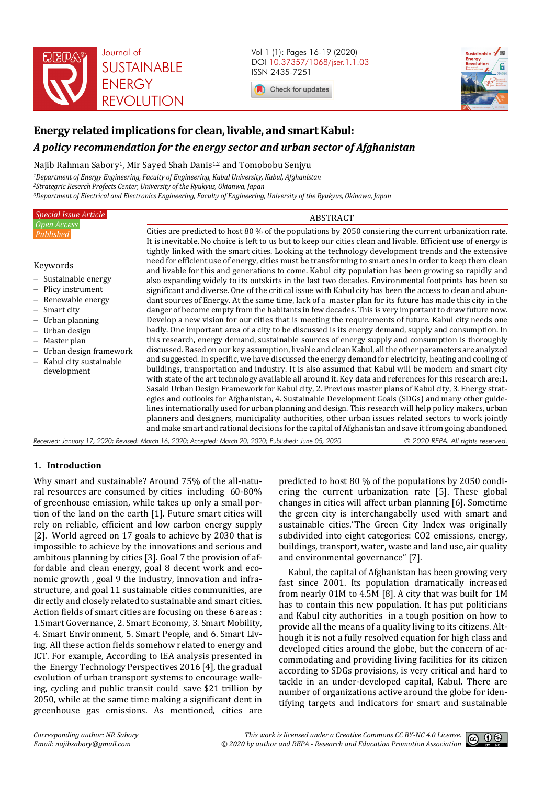

Vol 1 (1): Pages 16-19 (2020) DOI 10.37357/1068/jser.1.1.03 ISSN 2435-7251





# **Energy related implications for clean, livable, and smart Kabul:**

# *A policy recommendation for the energy sector and urban sector of Afghanistan*

# Najib Rahman Sabory<sup>1</sup>, Mir Sayed Shah Danis<sup>1,2</sup> and Tomobobu Senjyu

*<sup>1</sup>Department of Energy Engineering, Faculty of Engineering, Kabul University, Kabul, Afghanistan <sup>2</sup>Strategric Reserch Profects Center, University of the Ryukyus, Okianwa, Japan <sup>3</sup>Department of Electrical and Electronics Engineering, Faculty of Engineering, University of the Ryukyus, Okinawa, Japan* 

| Special Issue Article                                                                                                                                                                                                          | <b>ABSTRACT</b>                                                                                                                                                                                                                                                                                                                                                                                                                                                                                                                                                                                                                                                                                                                                                                                                                                                                                                                                                                                                                                                                                                                                                                                                                                                                                                                                                                                                                                                                                                                |
|--------------------------------------------------------------------------------------------------------------------------------------------------------------------------------------------------------------------------------|--------------------------------------------------------------------------------------------------------------------------------------------------------------------------------------------------------------------------------------------------------------------------------------------------------------------------------------------------------------------------------------------------------------------------------------------------------------------------------------------------------------------------------------------------------------------------------------------------------------------------------------------------------------------------------------------------------------------------------------------------------------------------------------------------------------------------------------------------------------------------------------------------------------------------------------------------------------------------------------------------------------------------------------------------------------------------------------------------------------------------------------------------------------------------------------------------------------------------------------------------------------------------------------------------------------------------------------------------------------------------------------------------------------------------------------------------------------------------------------------------------------------------------|
| Open Access<br>Published                                                                                                                                                                                                       | Cities are predicted to host 80 % of the populations by 2050 consiering the current urbanization rate.<br>It is inevitable. No choice is left to us but to keep our cities clean and livable. Efficient use of energy is                                                                                                                                                                                                                                                                                                                                                                                                                                                                                                                                                                                                                                                                                                                                                                                                                                                                                                                                                                                                                                                                                                                                                                                                                                                                                                       |
| Keywords<br>- Sustainable energy<br>- Plicy instrument<br>- Renewable energy<br>$-$ Smart city<br>$-$ Urban planning<br>- Urban design<br>- Master plan<br>- Urban design framework<br>- Kabul city sustainable<br>development | tightly linked with the smart cities. Looking at the technology development trends and the extensive<br>need for efficient use of energy, cities must be transforming to smart ones in order to keep them clean<br>and livable for this and generations to come. Kabul city population has been growing so rapidly and<br>also expanding widely to its outskirts in the last two decades. Environmental footprints has been so<br>significant and diverse. One of the critical issue with Kabul city has been the access to clean and abun-<br>dant sources of Energy. At the same time, lack of a master plan for its future has made this city in the<br>danger of become empty from the habitants in few decades. This is very important to draw future now.<br>Develop a new vision for our cities that is meeting the requirements of future. Kabul city needs one<br>badly. One important area of a city to be discussed is its energy demand, supply and consumption. In<br>this research, energy demand, sustainable sources of energy supply and consumption is thoroughly<br>discussed. Based on our key assumption, livable and clean Kabul, all the other parameters are analyzed<br>and suggested. In specific, we have discussed the energy demand for electricity, heating and cooling of<br>buildings, transportation and industry. It is also assumed that Kabul will be modern and smart city<br>with state of the art technology available all around it. Key data and references for this research are; 1. |
|                                                                                                                                                                                                                                | Sasaki Urban Design Framework for Kabul city, 2. Previous master plans of Kabul city, 3. Energy strat-<br>egies and outlooks for Afghanistan, 4. Sustainable Development Goals (SDGs) and many other guide-<br>lines internationally used for urban planning and design. This research will help policy makers, urban<br>planners and designers, municipality authorities, other urban issues related sectors to work jointly<br>and make smart and rational decisions for the capital of Afghanistan and save it from going abandoned.                                                                                                                                                                                                                                                                                                                                                                                                                                                                                                                                                                                                                                                                                                                                                                                                                                                                                                                                                                                        |

*Received: January 17, 2020; Revised: March 16, 2020; Accepted: March 20, 2020; Published: June 05, 2020 © 2020 REPA. All rights reserved.*

# **1. Introduction**

Why smart and sustainable? Around 75% of the all-natural resources are consumed by cities including 60-80% of greenhouse emission, while takes up only a small portion of the land on the earth [1]. Future smart cities will rely on reliable, efficient and low carbon energy supply [2]. World agreed on 17 goals to achieve by 2030 that is impossible to achieve by the innovations and serious and ambitous planning by cities [3]. Goal 7 the provision of affordable and clean energy, goal 8 decent work and economic growth , goal 9 the industry, innovation and infrastructure, and goal 11 sustainable cities communities, are directly and closely related to sustainable and smart cities. Action fields of smart cities are focusing on these 6 areas : 1.Smart Governance, 2. Smart Economy, 3. Smart Mobility, 4. Smart Environment, 5. Smart People, and 6. Smart Living. All these action fields somehow related to energy and ICT. For example, According to IEA analysis presented in the Energy Technology Perspectives 2016 [4], the gradual evolution of urban transport systems to encourage walking, cycling and public transit could save \$21 trillion by 2050, while at the same time making a significant dent in greenhouse gas emissions. As mentioned, cities are

predicted to host 80 % of the populations by 2050 condiering the current urbanization rate [5]. These global changes in cities will affect urban planning [6]. Sometime the green city is interchangabelly used with smart and sustainable cities."The Green City Index was originally subdivided into eight categories: CO2 emissions, energy, buildings, transport, water, waste and land use, air quality and environmental governance" [7].

Kabul, the capital of Afghanistan has been growing very fast since 2001. Its population dramatically increased from nearly 01M to 4.5M [8]. A city that was built for 1M has to contain this new population. It has put politicians and Kabul city authorities in a tough position on how to provide all the means of a quality living to its citizens. Although it is not a fully resolved equation for high class and developed cities around the globe, but the concern of accommodating and providing living facilities for its citizen according to SDGs provisions, is very critical and hard to tackle in an under-developed capital, Kabul. There are number of organizations active around the globe for identifying targets and indicators for smart and sustainable

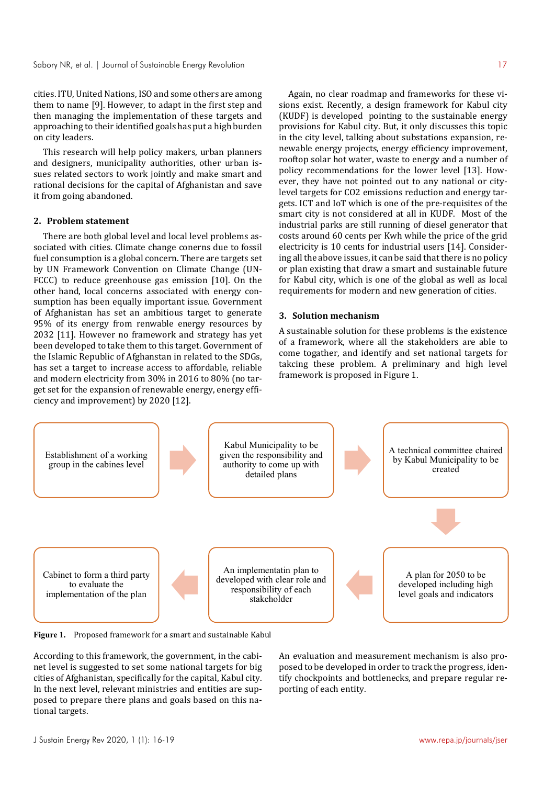cities. ITU, United Nations, ISO and some others are among them to name [9]. However, to adapt in the first step and then managing the implementation of these targets and approaching to their identified goals has put a high burden on city leaders.

This research will help policy makers, urban planners and designers, municipality authorities, other urban issues related sectors to work jointly and make smart and rational decisions for the capital of Afghanistan and save it from going abandoned.

## **2. Problem statement**

There are both global level and local level problems associated with cities. Climate change conerns due to fossil fuel consumption is a global concern. There are targets set by UN Framework Convention on Climate Change (UN-FCCC) to reduce greenhouse gas emission [10]. On the other hand, local concerns associated with energy consumption has been equally important issue. Government of Afghanistan has set an ambitious target to generate 95% of its energy from renwable energy resources by 2032 [11]. However no framework and strategy has yet been developed to take them to this target. Government of the Islamic Republic of Afghanstan in related to the SDGs, has set a target to increase access to affordable, reliable and modern electricity from 30% in 2016 to 80% (no target set for the expansion of renewable energy, energy efficiency and improvement) by 2020 [12].

Again, no clear roadmap and frameworks for these visions exist. Recently, a design framework for Kabul city (KUDF) is developed pointing to the sustainable energy provisions for Kabul city. But, it only discusses this topic in the city level, talking about substations expansion, renewable energy projects, energy efficiency improvement, rooftop solar hot water, waste to energy and a number of policy recommendations for the lower level [13]. However, they have not pointed out to any national or citylevel targets for CO2 emissions reduction and energy targets. ICT and IoT which is one of the pre-requisites of the smart city is not considered at all in KUDF. Most of the industrial parks are still running of diesel generator that costs around 60 cents per Kwh while the price of the grid electricity is 10 cents for industrial users [14]. Considering all the above issues, it can be said that there is no policy or plan existing that draw a smart and sustainable future for Kabul city, which is one of the global as well as local requirements for modern and new generation of cities.

#### **3. Solution mechanism**

A sustainable solution for these problems is the existence of a framework, where all the stakeholders are able to come togather, and identify and set national targets for takcing these problem. A preliminary and high level framework is proposed in Figure 1.



**Figure 1.** Proposed framework for a smart and sustainable Kabul

According to this framework, the government, in the cabinet level is suggested to set some national targets for big cities of Afghanistan, specifically for the capital, Kabul city. In the next level, relevant ministries and entities are supposed to prepare there plans and goals based on this national targets.

An evaluation and measurement mechanism is also proposed to be developed in order to track the progress, identify chockpoints and bottlenecks, and prepare regular reporting of each entity.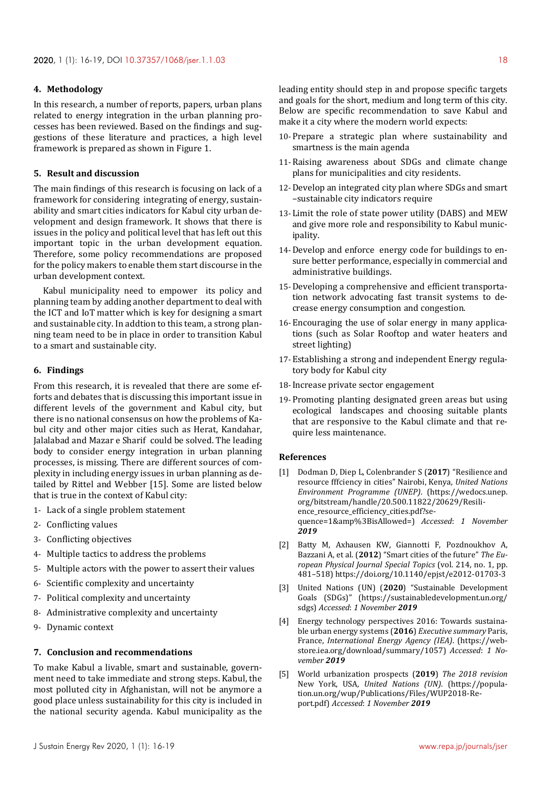#### **4. Methodology**

In this research, a number of reports, papers, urban plans related to energy integration in the urban planning processes has been reviewed. Based on the findings and suggestions of these literature and practices, a high level framework is prepared as shown in Figure 1.

# **5. Result and discussion**

The main findings of this research is focusing on lack of a framework for considering integrating of energy, sustainability and smart cities indicators for Kabul city urban development and design framework. It shows that there is issues in the policy and political level that has left out this important topic in the urban development equation. Therefore, some policy recommendations are proposed for the policy makers to enable them start discourse in the urban development context.

Kabul municipality need to empower its policy and planning team by adding another department to deal with the ICT and IoT matter which is key for designing a smart and sustainable city. In addtion to this team, a strong planning team need to be in place in order to transition Kabul to a smart and sustainable city.

#### **6. Findings**

From this research, it is revealed that there are some efforts and debates that is discussing this important issue in different levels of the government and Kabul city, but there is no national consensus on how the problems of Kabul city and other major cities such as Herat, Kandahar, Jalalabad and Mazar e Sharif could be solved. The leading body to consider energy integration in urban planning processes, is missing. There are different sources of complexity in including energy issues in urban planning as detailed by Rittel and Webber [15]. Some are listed below that is true in the context of Kabul city:

- 1- Lack of a single problem statement
- 2- Conflicting values
- 3- Conflicting objectives
- 4- Multiple tactics to address the problems
- 5- Multiple actors with the power to assert their values
- 6- Scientific complexity and uncertainty
- 7- Political complexity and uncertainty
- 8- Administrative complexity and uncertainty
- 9- Dynamic context

# **7. Conclusion and recommendations**

To make Kabul a livable, smart and sustainable, government need to take immediate and strong steps. Kabul, the most polluted city in Afghanistan, will not be anymore a good place unless sustainability for this city is included in the national security agenda. Kabul municipality as the

leading entity should step in and propose specific targets and goals for the short, medium and long term of this city. Below are specific recommendation to save Kabul and make it a city where the modern world expects:

- 10-Prepare a strategic plan where sustainability and smartness is the main agenda
- 11-Raising awareness about SDGs and climate change plans for municipalities and city residents.
- 12-Develop an integrated city plan where SDGs and smart –sustainable city indicators require
- 13-Limit the role of state power utility (DABS) and MEW and give more role and responsibility to Kabul municipality.
- 14-Develop and enforce energy code for buildings to ensure better performance, especially in commercial and administrative buildings.
- 15-Developing a comprehensive and efficient transportation network advocating fast transit systems to decrease energy consumption and congestion.
- 16-Encouraging the use of solar energy in many applications (such as Solar Rooftop and water heaters and street lighting)
- 17-Establishing a strong and independent Energy regulatory body for Kabul city
- 18-Increase private sector engagement
- 19-Promoting planting designated green areas but using ecological landscapes and choosing suitable plants that are responsive to the Kabul climate and that require less maintenance.

## **References**

- [1] Dodman D, Diep L, Colenbrander S (**2017**) "Resilience and resource fffciency in cities" Nairobi, Kenya, *United Nations Environment Programme (UNEP)*. (https://wedocs.unep. org/bitstream/handle/20.500.11822/20629/Resilience\_resource\_efficiency\_cities.pdf?sequence=1&amp%3BisAllowed=) *Accessed*: *1 November 2019*
- [2] Batty M, Axhausen KW, Giannotti F, Pozdnoukhov A, Bazzani A, et al. (**2012**) "Smart cities of the future" *The European Physical Journal Special Topics* (vol. 214, no. 1, pp. 481–518) https://doi.org/10.1140/epjst/e2012-01703-3
- [3] United Nations (UN) (**2020**) "Sustainable Development Goals (SDGs)" (https://sustainabledevelopment.un.org/ sdgs) *Accessed*: *1 November 2019*
- [4] Energy technology perspectives 2016: Towards sustainable urban energy systems (**2016**) *Executive summary* Paris, France, *International Energy Agency (IEA)*. (https://webstore.iea.org/download/summary/1057) *Accessed*: *1 November 2019*
- [5] World urbanization prospects (**2019**) *The 2018 revision* New York, USA, *United Nations (UN)*. (https://population.un.org/wup/Publications/Files/WUP2018-Report.pdf) *Accessed*: *1 November 2019*